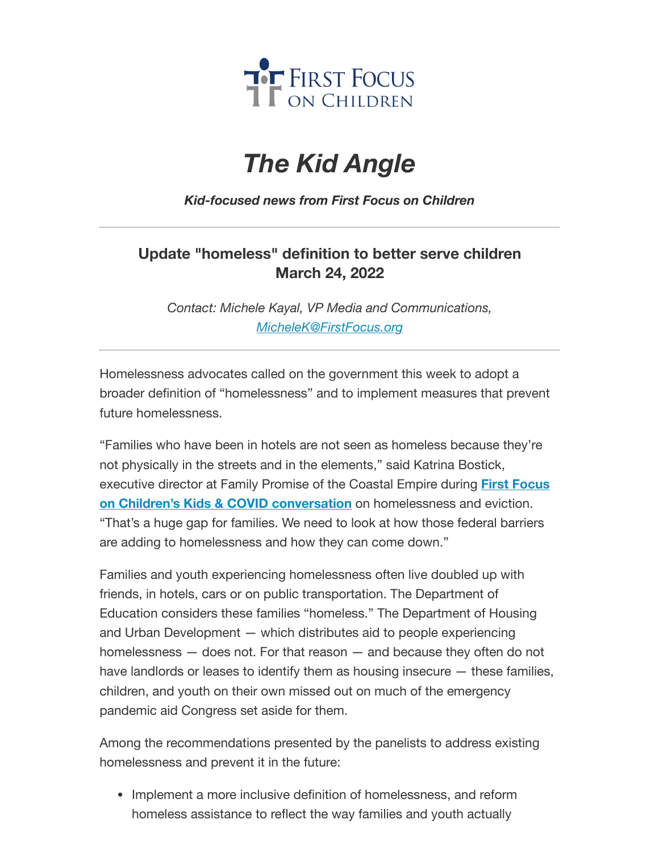

# *The Kid Angle*

## *Kid-focused news from First Focus on Children*

# **Update "homeless" definition to better serve children March 24, 2022**

*Contact: Michele Kayal, VP Media and Communications, [MicheleK@FirstFocus.org](mailto:MicheleK@firstfocus.org)*

Homelessness advocates called on the government this week to adopt a broader definition of "homelessness" and to implement measures that prevent future homelessness.

"Families who have been in hotels are not seen as homeless because they're not physically in the streets and in the elements," said Katrina Bostick, executive director at Family Promise of the Coastal Empire during **First Focus on Children's Kids & COVID conversation** on [homelessness and](https://join.firstfocus.org/kidsandcovid?e=6d50ef9bac605c372bd31a2e7c9cacfd&utm_source=ffcc&utm_medium=email&utm_campaign=_93_supporters&n=2&test_email=1) eviction. "That's a huge gap for families. We need to look at how those federal barriers are adding to homelessness and how they can come down."

Families and youth experiencing homelessness often live doubled up with friends, in hotels, cars or on public transportation. The Department of Education considers these families "homeless." The Department of Housing and Urban Development — which distributes aid to people experiencing homelessness — does not. For that reason — and because they often do not have landlords or leases to identify them as housing insecure — these families, children, and youth on their own missed out on much of the emergency pandemic aid Congress set aside for them.

Among the recommendations presented by the panelists to address existing homelessness and prevent it in the future:

• Implement a more inclusive definition of homelessness, and reform homeless assistance to reflect the way families and youth actually